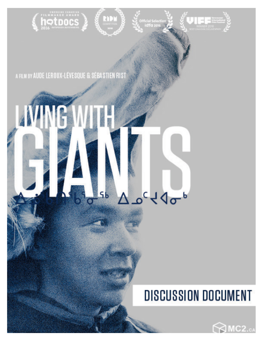

A FILM BY AUDE LEROUX-LÉVESQUE & SÉBASTIEN RIST

# **NING I**  $\Delta \rho^c \nless 10^{-6}$  $5<sub>b</sub>$

Ю

# **DISCUSSION DOCUMENT**

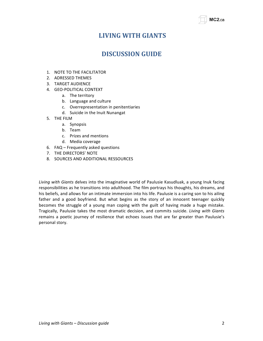# **LIVING!WITH!GIANTS**

# **DISCUSSION GUIDE**

- 1. NOTE TO THE FACILITATOR
- 2. ADRESSED THEMES
- 3. TARGET AUDIENCE
- 4. GEO-POLITICAL CONTEXT
	- a. The territory
	- b. Language and culture
	- c. Overrepresentation in penitentiaries
	- d. Suicide in the Inuit Nunangat
- 5. THE FILM
	- a. Synopsis
	- b. Team
	- c. Prizes and mentions
	- d. Media coverage
- 6.  $FAQ Frequently asked questions$
- 7. THE DIRECTORS' NOTE
- 8. SOURCES AND ADDITIONAL RESSOURCES

Living with Giants delves into the imaginative world of Paulusie Kasudluak, a young Inuk facing responsibilities as he transitions into adulthood. The film portrays his thoughts, his dreams, and his beliefs, and allows for an intimate immersion into his life. Paulusie is a caring son to his ailing father and a good boyfriend. But what begins as the story of an innocent teenager quickly becomes the struggle of a young man coping with the guilt of having made a huge mistake. Tragically, Paulusie takes the most dramatic decision, and commits suicide. *Living with Giants* remains a poetic journey of resilience that echoes issues that are far greater than Paulusie's personal story.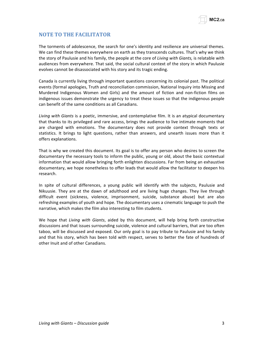# **NOTE TO!THE!FACILITATOR**

The torments of adolescence, the search for one's identity and resilience are universal themes. We can find these themes everywhere on earth as they transcends cultures. That's why we think the story of Paulusie and his family, the people at the core of *Living with Giants*, is relatable with audiences from everywhere. That said, the social cultural context of the story in which Paulusie evolves cannot be disassociated with his story and its tragic ending.

Canada is currently living through important questions concerning its colonial past. The political events (formal apologies, Truth and reconciliation commission, National Inquiry into Missing and Murdered Indigenous Women and Girls) and the amount of fiction and non-fiction films on indigenous issues demonstrate the urgency to treat these issues so that the indigenous people can benefit of the same conditions as all Canadians.

Living with Giants is a poetic, immersive, and contemplative film. It is an atypical documentary that thanks to its privileged and rare access, brings the audience to live intimate moments that are charged with emotions. The documentary does not provide context through texts or statistics. It brings to light questions, rather than answers, and unearth issues more than it offers explanations."

That is why we created this document. Its goal is to offer any person who desires to screen the documentary the necessary tools to inform the public, young or old, about the basic contextual information that would allow bringing forth enlighten discussions. Far from being an exhaustive documentary, we hope nonetheless to offer leads that would allow the facilitator to deepen his research.

In spite of cultural differences, a young public will identify with the subjects, Paulusie and Nikuusie. They are at the dawn of adulthood and are living huge changes. They live through difficult event (sickness, violence, imprisonment, suicide, substance abuse) but are also refreshing examples of youth and hope. The documentary uses a cinematic language to push the narrative, which makes the film also interesting to film students.

We hope that *Living with Giants*, aided by this document, will help bring forth constructive discussions and that issues surrounding suicide, violence and cultural barriers, that are too often taboo, will be discussed and exposed. Our only goal is to pay tribute to Paulusie and his family and that his story, which has been told with respect, serves to better the fate of hundreds of other Inuit and of other Canadians.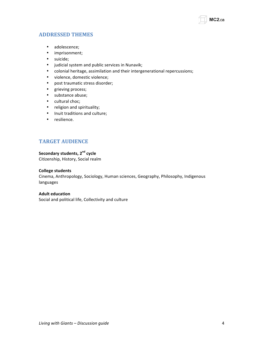

# **ADDRESSED!THEMES!**

- adolescence;
- imprisonment;
- suicide;
- judicial system and public services in Nunavik;
- colonial heritage, assimilation and their intergenerational repercussions;
- violence, domestic violence;
- post traumatic stress disorder;
- grieving process;
- substance abuse;
- cultural choc;
- religion and spirituality;
- Inuit traditions and culture;
- resilience.

# **TARGET AUDIENCE**

## **Secondary students, 2<sup>nd</sup> cycle**

Citizenship, History, Social realm

#### **College students**

Cinema, Anthropology, Sociology, Human sciences, Geography, Philosophy, Indigenous languages

#### **Adult education**

Social and political life, Collectivity and culture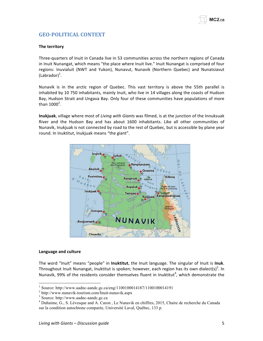# **GEO4POLITICAL!CONTEXT**

#### **The territory**

Three-quarters of Inuit in Canada live in 53 communities across the northern regions of Canada in Inuit Nunangat, which means "the place where Inuit live." Inuit Nunangat is comprised of four regions: Inuvialuit (NWT and Yukon), Nunavut, Nunavik (Northern Quebec) and Nunatsiavut  $(Labrador)<sup>1</sup>$ .

Nunavik is in the arctic region of Quebec. This vast territory is above the 55th parallel is inhabited by 10 750 inhabitants, mainly Inuit, who live in 14 villages along the coasts of Hudson Bay, Hudson Strait and Ungava Bay. Only four of these communities have populations of more than  $1000^2$ .

Inukjuak, village where most of Living with Giants was filmed, is at the junction of the Innuksuak River and the Hudson Bay and has about 1600 inhabitants. Like all other communities of Nunavik, Inukjuak is not connected by road to the rest of Quebec, but is accessible by plane year round. In Inuktitut, Inukjuak means "the giant".



#### **Language and culture**

The word "Inuit" means "people" in Inuktitut, the Inuit language. The singular of Inuit is Inuk. Throughout Inuit Nunangat, Inuktitut is spoken; however, each region has its own dialect(s)<sup>3</sup>. In Nunavik, 99% of the residents consider themselves fluent in Inuktitut<sup>4</sup>, which demonstrate the

<sup>&</sup>lt;sup>1</sup> Source: http://www.aadnc-aandc.gc.ca/eng/1100100014187/1100100014191<br>
<sup>2</sup> http://www.nunavik-tourism.com/Inuit-nunavik.aspx<br>
<sup>3</sup> Source: http://www.aadnc-aandc.gc.ca<br>
<sup>4</sup> Duhaime, G., S. Lévesque and A. Caron, Le Nuna sur la condition autochtone comparée, Université Laval, Québec, 133 p.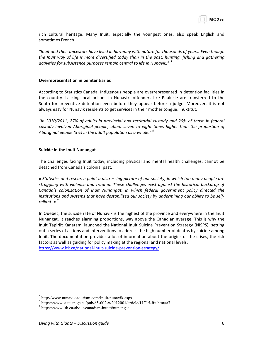rich cultural heritage. Many Inuit, especially the youngest ones, also speak English and sometimes French.

*"Inuit&and&their&ancestors have&lived&in&harmony&with&nature&for&thousands&of&years.&Even&though& the Inuit way of life is more diversified today than in the past, hunting, fishing and gathering* activities for subsistence purposes remain central to life in Nunavik."<sup>5</sup>

#### **Overrepresentation in penitentiaries**

According to Statistics Canada, Indigenous people are overrepresented in detention facilities in the country. Lacking local prisons in Nunavik, offenders like Paulusie are transferred to the South for preventive detention even before they appear before a judge. Moreover, it is not always easy for Nunavik residents to get services in their mother tongue, Inuktitut.

*"In& 2010/2011,& 27%& of& adults& in& provincial& and& territorial& custody& and& 20%& of& those& in& federal&* custody involved Aboriginal people, about seven to eight times higher than the proportion of Aboriginal people (3%) in the adult population as a whole."<sup>6</sup>

#### **Suicide in the Inuit Nunangat**

The challenges facing Inuit today, including physical and mental health challenges, cannot be detached from Canada's colonial past:

*« Statistics&and&research&paint&a&distressing&picture&of&our&society,&in&which&too&many&people&are&* struggling with violence and trauma. These challenges exist against the historical backdrop of Canada's colonization of Inuit Nunangat, in which federal government policy directed the institutions and systems that have destabilized our society by undermining our ability to be self*reliant.* »<sup>7</sup>

In Quebec, the suicide rate of Nunavik is the highest of the province and everywhere in the Inuit Nunangat, it reaches alarming proportions, way above the Canadian average. This is why the Inuit Tapiriit Kanatami launched the National Inuit Suicide Prevention Strategy (NISPS), setting out a series of actions and interventions to address the high number of deaths by suicide among Inuit. The documentation provides a lot of information about the origins of the crises, the risk factors as well as guiding for policy making at the regional and national levels: https://www.itk.ca/national-inuit-suicide-prevention-strategy/

<sup>&</sup>lt;sup>5</sup> http://www.nunavik-tourism.com/Inuit-nunavik.aspx<br>
<sup>6</sup> https://www.statcan.gc.ca/pub/85-002-x/2012001/article/11715-fra.htm#a7<br>
<sup>7</sup> https://www.itk.ca/about-canadian-inuit/#nunangat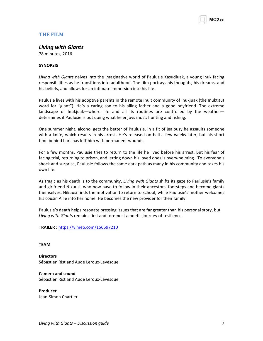

# **THE FILM**

#### **Living with Giants**

78 minutes, 2016

#### **SYNOPSIS**

Living with Giants delves into the imaginative world of Paulusie Kasudluak, a young Inuk facing responsibilities as he transitions into adulthood. The film portrays his thoughts, his dreams, and his beliefs, and allows for an intimate immersion into his life.

Paulusie lives with his adoptive parents in the remote Inuit community of Inukjuak (the Inuktitut word for "giant"). He's a caring son to his ailing father and a good boyfriend. The extreme landscape of Inukjuak—where life and all its routines are controlled by the weather determines if Paulusie is out doing what he enjoys most: hunting and fishing.

One summer night, alcohol gets the better of Paulusie. In a fit of jealousy he assaults someone with a knife, which results in his arrest. He's released on bail a few weeks later, but his short time behind bars has left him with permanent wounds.

For a few months, Paulusie tries to return to the life he lived before his arrest. But his fear of facing trial, returning to prison, and letting down his loved ones is overwhelming. To everyone's shock and surprise, Paulusie follows the same dark path as many in his community and takes his own life.

As tragic as his death is to the community, *Living with Giants* shifts its gaze to Paulusie's family and girlfriend Nikuusi, who now have to follow in their ancestors' footsteps and become giants themselves. Nikuusi finds the motivation to return to school, while Paulusie's mother welcomes his cousin Allie into her home. He becomes the new provider for their family.

Paulusie's death helps resonate pressing issues that are far greater than his personal story, but *Living with Giants* remains first and foremost a poetic journey of resilience.

**TRAILER :!**https://vimeo.com/156597210

#### **TEAM**

**Directors** Sébastien Rist and Aude Leroux-Lévesque

**Camera!and!sound** Sébastien Rist and Aude Leroux-Lévesque

**Producer** Jean-Simon Chartier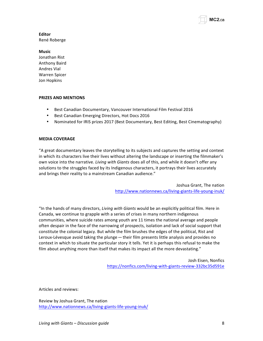

# **Editor**

René Roberge

#### **Music**

Jonathan Rist Anthony Baird **Andres Vial** Warren Spicer Jon Hopkins

#### **PRIZES!AND MENTIONS**

- Best Canadian Documentary, Vancouver International Film Festival 2016
- Best Canadian Emerging Directors, Hot Docs 2016
- Nominated for IRIS prizes 2017 (Best Documentary, Best Editing, Best Cinematography)

#### **MEDIA!COVERAGE**

"A great documentary leaves the storytelling to its subjects and captures the setting and context in which its characters live their lives without altering the landscape or inserting the filmmaker's own voice into the narrative. *Living with Giants* does all of this, and while it doesn't offer any solutions to the struggles faced by its Indigenous characters, it portrays their lives accurately and brings their reality to a mainstream Canadian audience."

> Joshua Grant, The nation http://www.nationnews.ca/living-giants-life-young-inuk/

"In the hands of many directors, *Living with Giants* would be an explicitly political film. Here in Canada, we continue to grapple with a series of crises in many northern indigenous communities, where suicide rates among youth are 11 times the national average and people often despair in the face of the narrowing of prospects, isolation and lack of social support that constitute the colonial legacy. But while the film brushes the edges of the political, Rist and Leroux-Lévesque avoid taking the plunge – their film presents little analysis and provides no context in which to situate the particular story it tells. Yet it is perhaps this refusal to make the film about anything more than itself that makes its impact all the more devastating."

> Josh Eisen, Nonfics https://nonfics.com/living-with-giants-review-332bc35d591e

Articles and reviews:

Review by Joshua Grant, The nation http://www.nationnews.ca/living-giants-life-young-inuk/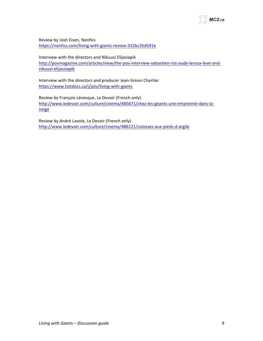Review by Josh Eisen, Nonfics

https://nonfics.com/living-with-giants-review-332bc35d591e

Interview with the directors and Nikuusi Elijasiapik

http://povmagazine.com/articles/view/the-pov-interview-sebastien-rist-aude-leroux-leve-andnikuusi-elijassiapik

Interview with the directors and producer Jean-Simon Chartier https://www.hotdocs.ca/i/jots/living-with-giants

Review by François Lévesque, Le Devoir (French only) http://www.ledevoir.com/culture/cinema/485671/chez-les-geants-une-empreinte-dans-laneige

Review by André Lavoie, Le Devoir (French only) http://www.ledevoir.com/culture/cinema/486121/colosses-aux-pieds-d-argile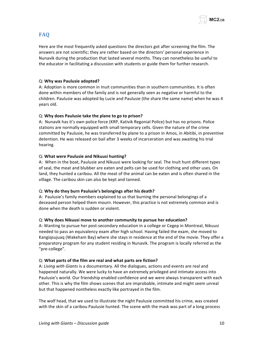

# **FAQ**

Here are the most frequently asked questions the directors got after screening the film. The answers are not scientific; they are rather based on the directors' personal experience in Nunavik during the production that lasted several months. They can nonetheless be useful to the educator in facilitating a discussion with students or guide them for further research.

#### Q:"**Why!was Paulusie!adopted?**

A: Adoption is more common in Inuit communities than in southern communities. It is often done within members of the family and is not generally seen as negative or harmful to the children. Paulusie was adopted by Lucie and Paulusie (the share the same name) when he was 4 years old.

#### Q: Why does Paulusie take the plane to go to prison?

A: Nunavik has it's own police force (KRP, Kativik Regonial Police) but has no prisons. Police stations are normally equipped with small temporary cells. Given the nature of the crime committed by Paulusie, he was transferred by plane to a prison in Amos, in Abitibi, in preventive detention. He was released on bail after 3 weeks of incarceration and was awaiting his trial hearing.

#### Q: What were Paulusie and Nikuusi hunting?

A: When in the boat, Paulusie and Nikuusi were looking for seal. The Inuit hunt different types of seal, the meat and blubber are eaten and pelts can be used for clothing and other uses. On land, they hunted a caribou. All the meat of the animal can be eaten and is often shared in the village. The caribou skin can also be kept and tanned.

#### Q: Why do they burn Paulusie's belongings after his death?

A: Paulusie's family members explained to us that burning the personal belongings of a deceased person helped them mourn. However, this practice is not extremely common and is done when the death is sudden or violent.

#### Q: Why does Nikuusi move to another community to pursue her education?

A: Wanting to pursue her post-secondary education in a college or Cegep in Montreal, Nikuusi needed to pass an equivalency exam after high school. Having failed the exam, she moved to Kangiqsujuaq (Wakeham Bay) where she stays in residence at the end of the movie. They offer a preparatory program for any student residing in Nunavik. The program is locally referred as the "pre-college".

#### Q: What parts of the film are real and what parts are fiction?

A: Living with Giants is a documentary. All the dialogues, actions and events are real and happened naturally. We were lucky to have an extremely privileged and intimate access into Paulusie's world. Our friendship enabled confidence and we were always transparent with each other. This is why the film shows scenes that are improbable, intimate and might seem unreal but that happened nontheless exactly like portrayed in the film.

The wolf head, that we used to illustrate the night Paulusie committed his crime, was created with the skin of a caribou Paulusie hunted. The scene with the mask was part of a long process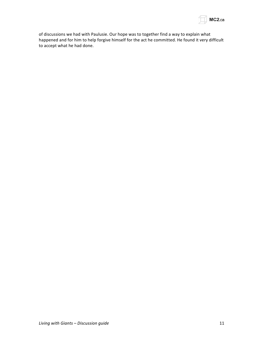

of discussions we had with Paulusie. Our hope was to together find a way to explain what happened and for him to help forgive himself for the act he committed. He found it very difficult to accept what he had done.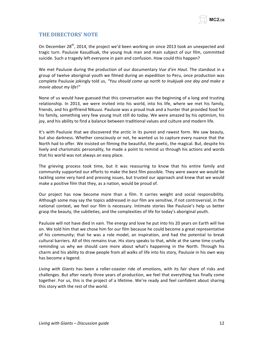

# **THE DIRECTORS' NOTE**

On December 28<sup>th</sup>, 2014, the project we'd been working on since 2013 took an unexpected and tragic turn. Paulusie Kasudluak, the young Inuk man and main subject of our film, committed suicide. Such a tragedy left everyone in pain and confusion. How could this happen?

We met Paulusie during the production of our documentary *Vue d'en Haut*. The standout in a group of twelve aboriginal youth we filmed during an expedition to Peru, once production was complete Paulusie jokingly told us, "You should come up north to Inukjuak one day and make a *movie about my life!"* 

None of us would have guessed that this conversation was the beginning of a long and trusting relationship. In 2013, we were invited into his world, into his life, where we met his family, friends, and his girlfriend Nikuusi. Paulusie was a proud Inuk and a hunter that provided food for his family, something very few young Inuit still do today. We were amazed by his optimism, his joy, and his ability to find a balance between traditional values and culture and modern life.

It's with Paulusie that we discovered the arctic in its purest and rawest form. We saw beauty, but also darkness. Whether consciously or not, he wanted us to capture every nuance that the North had to offer. We insisted on filming the beautiful, the poetic, the magical. But, despite his lively and charismatic personality, he made a point to remind us through his actions and words that his world was not always an easy place.

The grieving process took time, but it was reassuring to know that his entire family and community supported our efforts to make the best film possible. They were aware we would be tackling some very hard and pressing issues, but trusted our approach and knew that we would make a positive film that they, as a nation, would be proud of.

Our project has now become more than a film. It carries weight and social responsibility. Although some may say the topics addressed in our film are sensitive, if not controversial, in the national context, we feel our film is necessary. Intimate stories like Paulusie's help us better grasp the beauty, the subtleties, and the complexities of life for today's aboriginal youth.

Paulusie will not have died in vain. The energy and love he put into his 20 years on Earth will live on. We told him that we chose him for our film because he could become a great representative of his community; that he was a role model, an inspiration, and had the potential to break cultural barriers. All of this remains true. His story speaks to that, while at the same time cruelly reminding us why we should care more about what's happening in the North. Through his charm and his ability to draw people from all walks of life into his story, Paulusie in his own way has become a legend.

Living with Giants has been a roller-coaster ride of emotions, with its fair share of risks and challenges. But after nearly three years of production, we feel that everything has finally come together. For us, this is the project of a lifetime. We're ready and feel confident about sharing this story with the rest of the world.